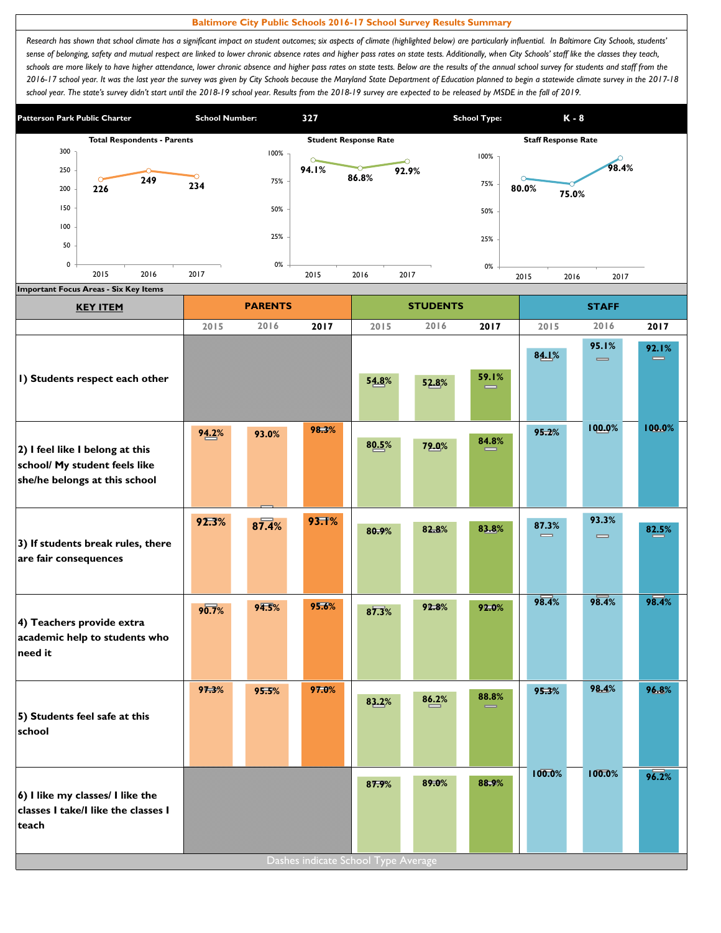## **Baltimore City Public Schools 2016-17 School Survey Results Summary**

Research has shown that school climate has a significant impact on student outcomes; six aspects of climate (highlighted below) are particularly influential. In Baltimore City Schools, students' sense of belonging, safety and mutual respect are linked to lower chronic absence rates and higher pass rates on state tests. Additionally, when City Schools' staff like the classes they teach, schools are more likely to have higher attendance, lower chronic absence and higher pass rates on state tests. Below are the results of the annual school survey for students and staff from the *2016-17 school year. It was the last year the survey was given by City Schools because the Maryland State Department of Education planned to begin a statewide climate survey in the 2017-18*  school year. The state's survey didn't start until the 2018-19 school year. Results from the 2018-19 survey are expected to be released by MSDE in the fall of 2019.



| <b>KEY ITEM</b>                                                                                   |       | <b>PARENTS</b> |       |       | <b>STUDENTS</b> |       |                   | <b>STAFF</b>                          |                   |
|---------------------------------------------------------------------------------------------------|-------|----------------|-------|-------|-----------------|-------|-------------------|---------------------------------------|-------------------|
|                                                                                                   | 2015  | 2016           | 2017  | 2015  | 2016            | 2017  | 2015              | 2016                                  | 2017              |
|                                                                                                   |       |                |       |       |                 |       | 84.1%             | 95.1%<br>$\qquad \qquad \blacksquare$ | 92.1%<br>$\equiv$ |
| I) Students respect each other                                                                    |       |                |       | 54.8% | 52.8%           | 59.1% |                   |                                       |                   |
| 2) I feel like I belong at this<br>school/ My student feels like<br>she/he belongs at this school | 94.2% | 93.0%          | 98.3% | 80.5% | 79.0%           | 84.8% | 95.2%             | 100.0%                                | 100.0%            |
| 3) If students break rules, there<br>are fair consequences                                        | 92.3% | 87.4%          | 93.T% | 80.9% | 82.8%           | 83.8% | 87.3%<br>$\equiv$ | 93.3%<br>$\qquad \qquad \blacksquare$ | 82.5%             |
| 4) Teachers provide extra<br>academic help to students who<br>need it                             | 90.7% | 94.5%          | 95.6% | 87.3% | 92.8%           | 92.0% | 98.4%             | 98.4%                                 | 98.4%             |
| 5) Students feel safe at this<br>school                                                           | 97.3% | 95.5%          | 97.0% | 83.2% | 86.2%           | 88.8% | 95.3%             | 98.4%                                 | 96.8%             |
| 6) I like my classes/ I like the<br>classes I take/I like the classes I<br>teach                  |       |                |       | 87.9% | 89.0%           | 88.9% | 100.0%            | 100.0%                                | 96.2%             |